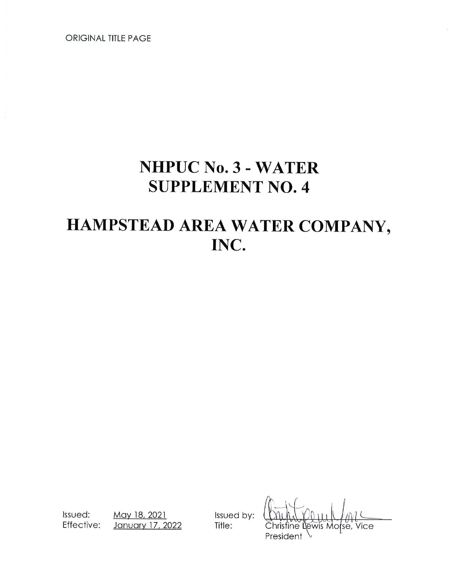ORIGINAL TITLE PAGE

# **NHPUC No. 3- WATER SUPPLEMENT NO. 4**

# **HAMPSTEAD AREA WATER COMPANY, INC.**

Issued: <u>May 18, 2021</u> Issued by:<br>Effective: January 17, 2022 Title: January 17, 2022 Title:

isfine Lewis Morse. Vice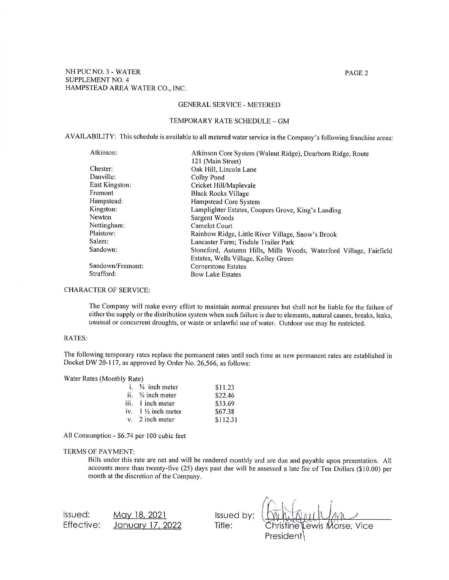# PAGE2

#### GENERAL SERVICE - METERED

#### TEMPORARY RATE SCHEDULE - GM

AVAILABILITY: This schedule is available to all metered water service in the Company's following franchise areas:

| Atkinson:        | Atkinson Core System (Walnut Ridge), Dearborn Ridge, Route         |  |
|------------------|--------------------------------------------------------------------|--|
|                  | 121 (Main Street)                                                  |  |
| Chester:         | Oak Hill, Lincoln Lane                                             |  |
| Danville:        | Colby Pond                                                         |  |
| East Kingston:   | Cricket Hill/Maplevale                                             |  |
| Fremont          | <b>Black Rocks Village</b>                                         |  |
| Hampstead:       | Hampstead Core System                                              |  |
| Kingston:        | Lamplighter Estates, Coopers Grove, King's Landing                 |  |
| Newton           | Sargent Woods                                                      |  |
| Nottingham:      | <b>Camelot Court</b>                                               |  |
| Plaistow:        | Rainbow Ridge, Little River Village, Snow's Brook                  |  |
| Salem:           | Lancaster Farm; Tisdale Trailer Park                               |  |
| Sandown:         | Stoneford, Autumn Hills, Mills Woods, Waterford Village, Fairfield |  |
|                  | Estates, Wells Village, Kelley Green                               |  |
| Sandown/Fremont: | <b>Cornerstone Estates</b>                                         |  |
| Strafford:       | <b>Bow Lake Estates</b>                                            |  |

# CHARACTER OF SERVICE:

The Company will make every effort to maintain normal pressures but shall not be liable for the failure of either the supply or the distribution system when such failure is due to elements, natural causes, breaks, leaks, unusual or concurrent droughts, or waste or unlawful use of water. Outdoor use may be restricted.

#### RATES:

The following temporary rates replace the permanent rates until such time as new permanent rates are established in Docket DW 20-117, as approved by Order No. 26,566, as follows:

Water Rates (Monthly Rate)

| i. $\frac{5}{8}$ inch meter   | \$11.23  |
|-------------------------------|----------|
| ii. $\frac{3}{4}$ inch meter  | \$22.46  |
| iii. 1 inch meter             | \$33.69  |
| iv. $1\frac{1}{2}$ inch meter | \$67.38  |
| $v = 2$ inch meter            | \$112.31 |

All Consumption - \$6.74 per 100 cubic feet

# TERMS OF PAYMENT:

Bills under this rate are net and will be rendered monthly and are due and payable upon presentation. All accounts more than twenty-five (25) days past due will be assessed a late fee of Ten Dollars (\$10.00) per month at the discretion of the Company.

Issued: Effective: May 18, 2021 January 17, 2022 Issued by: Title:

Lewis Morse, Vice tine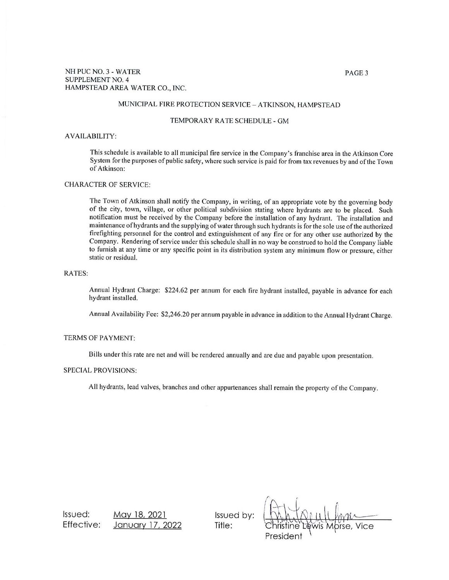# PAGE3

# MUNICIPAL FIRE PROTECTION SERVICE - ATKINSON, HAMPSTEAD

#### TEMPORARY RA TE SCHEDULE - GM

#### AVAILABILITY:

This schedule is available to all municipal fire service in the Company's franchise area in the Atkinson Core System for the purposes of public safety, where such service is paid for from tax revenues by and of the Town of Atkinson:

### CHARACTER OF SERVICE:

The Town of Atkinson shall notify the Company, in writing, of an appropriate vote by the governing body of the city, town, village, or other political subdivision stating where hydrants are to be placed. Such notification must be received by the Company before the installation of any hydrant. The installation and maintenance of hydrants and the supplying of water through such hydrants is for the sole use of the authorized firefighting personnel for the control and extinguishment of any fire or for any other use authorized by the Company. Rendering of service under this schedule shall in no way be construed to hold the Company liable to furnish at any time or any specific point in its distribution system any minimum flow or pressure, either static or residual.

#### RATES:

Annual Hydrant Charge: \$224.62 per annum for each fire hydrant installed, payable in advance for each hydrant installed.

Annual Availability Fee: \$2,246.20 per annum payable in advance in addition to the Annual Hydrant Charge.

#### TERMS OF PAYMENT:

Bills under this rate are net and will be rendered annually and are due and payable upon presentation.

#### SPECIAL PROVISIONS:

All hydrants, lead valves, branches and other appurtenances shall remain the property of the Company.

Issued: Effective: May 18, 2021 January 17, 2022

Issued by: **Title:**